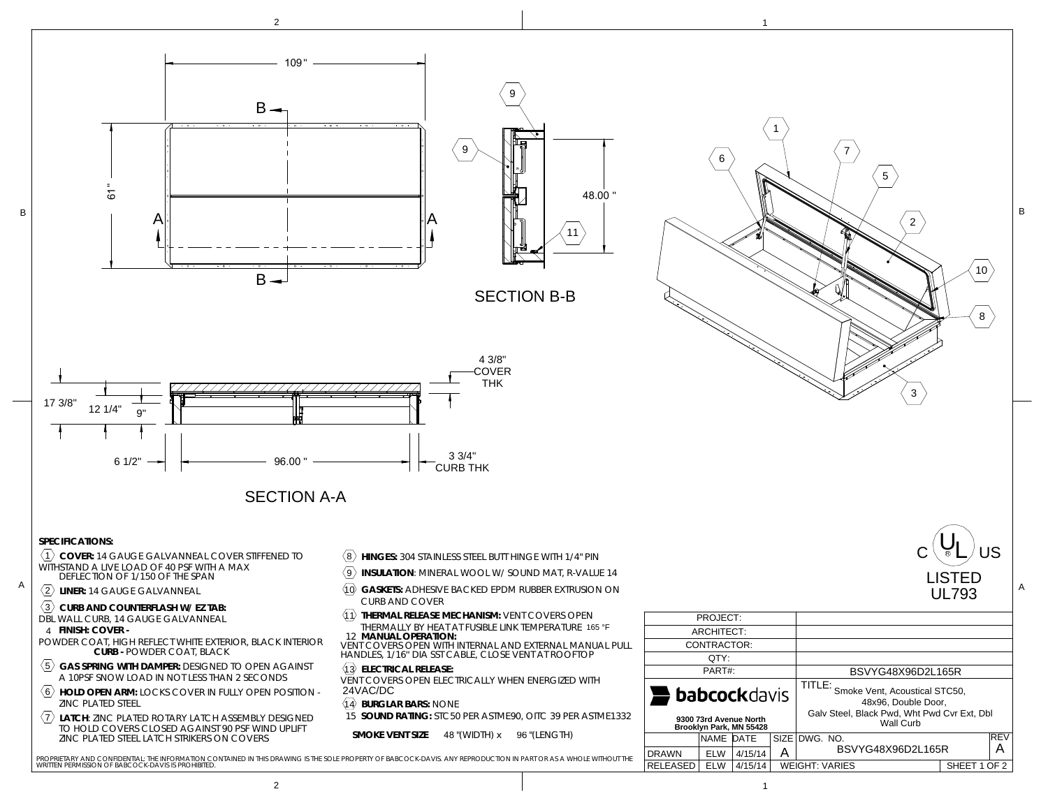

PROPRIETARY AND CONFIDENTIAL: THE INFORMATION CONTAINED IN THIS DRAWING IS THE SOLE PROPERTY OF BABCOCK-DAVIS. ANY REPRODUCTION IN PART OR AS A WHOLE WITHOUT THE<br>WRITTEN PERMISSION OF BABCOCK-DAVIS IS PROHIBITED.

4/15/14

WEIGHT: VARIES

SHEET 1 OF 2

ELW

RELEASED